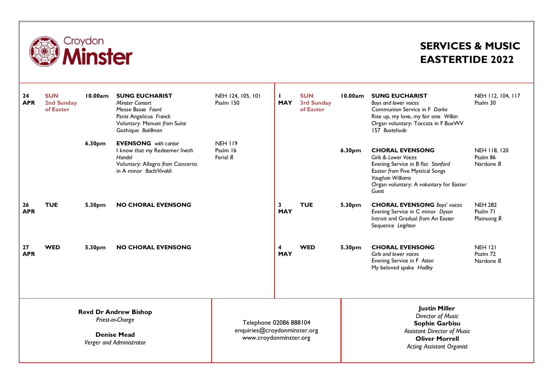

## **SERVICES & MUSIC EASTERTIDE 2022**

| 24<br><b>APR</b>                                                                                   | <b>SUN</b><br>2nd Sunday<br>of Easter | 10.00am | <b>SUNG EUCHARIST</b><br>Minster Consort<br>Messe Basse Fauré<br>Panis Angelicus Franck<br>Voluntary: Menuet from Suite<br>Gothique Boëllman | NEH 124, 105, 101<br>Psalm 150                                                   | <b>MAY</b>      | <b>SUN</b><br><b>3rd Sunday</b><br>of Easter | 10.00am                                                                                                                                                               | <b>SUNG EUCHARIST</b><br>Boys and lower voices<br>Communion Service in F Darke<br>Rise up, my love, my fair one Willan<br>Organ voluntary: Toccata in F BuxWV<br>157 Buxtehude                  | NEH 112, 104, 117<br>Psalm 30             |
|----------------------------------------------------------------------------------------------------|---------------------------------------|---------|----------------------------------------------------------------------------------------------------------------------------------------------|----------------------------------------------------------------------------------|-----------------|----------------------------------------------|-----------------------------------------------------------------------------------------------------------------------------------------------------------------------|-------------------------------------------------------------------------------------------------------------------------------------------------------------------------------------------------|-------------------------------------------|
|                                                                                                    |                                       | 6.30pm  | <b>EVENSONG</b> with cantor<br>I know that my Redeemer liveth<br>Handel<br>Voluntary: Allegro from Concerto<br>in A minor Bach/Vivaldi       | <b>NEH 119</b><br>Psalm 16<br>Ferial R                                           |                 |                                              | 6.30pm                                                                                                                                                                | <b>CHORAL EVENSONG</b><br>Girls & Lower Voices<br>Evening Service in B flat Stanford<br>Easter from Five Mystical Songs<br>Vaughan Williams<br>Organ voluntary: A voluntary for Easter<br>Guest | NEH 118, 120<br>Psalm 86<br>Nardone R     |
| 26<br><b>APR</b>                                                                                   | <b>TUE</b>                            | 5.30pm  | <b>NO CHORAL EVENSONG</b>                                                                                                                    |                                                                                  | 3<br><b>MAY</b> | <b>TUE</b>                                   | 5.30pm                                                                                                                                                                | <b>CHORAL EVENSONG Boys' voices</b><br>Evening Service in C minor Dyson<br>Introit and Gradual from An Easter<br>Sequence Leighton                                                              | <b>NEH 282</b><br>Psalm 71<br>Plainsong R |
| 27<br><b>APR</b>                                                                                   | <b>WED</b>                            | 5.30pm  | <b>NO CHORAL EVENSONG</b>                                                                                                                    |                                                                                  | 4<br><b>MAY</b> | <b>WED</b>                                   | 5.30pm                                                                                                                                                                | <b>CHORAL EVENSONG</b><br>Girls and lower voices<br>Evening Service in F Aston<br>My beloved spake Hadley                                                                                       | <b>NEH 121</b><br>Psalm 72<br>Nardone R   |
| <b>Revd Dr Andrew Bishop</b><br>Priest-in-Charge<br><b>Denise Mead</b><br>Verger and Administrator |                                       |         |                                                                                                                                              | Telephone 02086 888104<br>enquiries@croydonminster.org<br>www.croydonminster.org |                 |                                              | <b>Justin Miller</b><br>Director of Music<br><b>Sophie Garbisu</b><br><b>Assistant Director of Music</b><br><b>Oliver Morrell</b><br><b>Acting Assistant Organist</b> |                                                                                                                                                                                                 |                                           |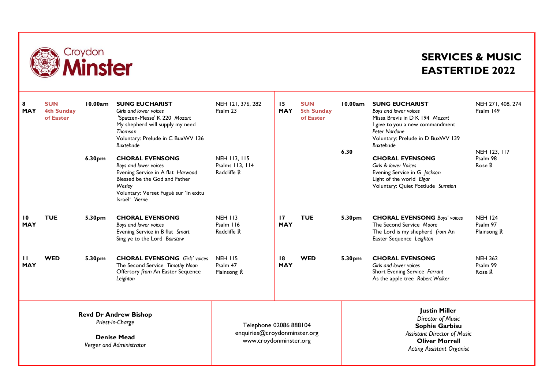

## **SERVICES & MUSIC EASTERTIDE 2022**

| 8<br><b>MAY</b>                                                                                    | <b>SUN</b><br><b>4th Sunday</b><br>of Easter | 10.00am<br>6.30pm  | <b>SUNG EUCHARIST</b><br>Girls and lower voices<br>'Spatzen-Messe' K 220 Mozart<br>My shepherd will supply my need<br>Thomson<br>Voluntary: Prelude in C BuxWV 136<br><b>Buxtehude</b><br><b>CHORAL EVENSONG</b><br>Boys and lower voices<br>Evening Service in A flat Harwood<br>Blessed be the God and Father<br>Wesley<br>Voluntary: Verset Fugué sur 'In exitu<br>Israël' Vierne | NEH 121, 376, 282<br>Psalm 23<br><b>NEH 113, 115</b><br>Psalms 113, 114<br>Radcliffe R | 15<br><b>MAY</b> | <b>SUN</b><br><b>5th Sunday</b><br>of Easter                                                                                                                   | 10.00am<br>6.30 | <b>SUNG EUCHARIST</b><br>Boys and lower voices<br>Missa Brevis in D K 194 Mozart<br>I give to you a new commandment<br><b>Peter Nardone</b><br>Voluntary: Prelude in D BuxWV 139<br><b>Buxtehude</b><br><b>CHORAL EVENSONG</b><br>Girls & lower Voices<br>Evening Service in G Jackson<br>Light of the world Elgar<br>Voluntary: Quiet Postlude Sumsion | NEH 271, 408, 274<br>Psalm 149<br>NEH 123, 117<br>Psalm 98<br>Rose R |
|----------------------------------------------------------------------------------------------------|----------------------------------------------|--------------------|--------------------------------------------------------------------------------------------------------------------------------------------------------------------------------------------------------------------------------------------------------------------------------------------------------------------------------------------------------------------------------------|----------------------------------------------------------------------------------------|------------------|----------------------------------------------------------------------------------------------------------------------------------------------------------------|-----------------|---------------------------------------------------------------------------------------------------------------------------------------------------------------------------------------------------------------------------------------------------------------------------------------------------------------------------------------------------------|----------------------------------------------------------------------|
| 10<br><b>MAY</b>                                                                                   | <b>TUE</b>                                   | 5.30 <sub>pm</sub> | <b>CHORAL EVENSONG</b><br>Boys and lower voices<br>Evening Service in B flat Smart<br>Sing ye to the Lord Bairstow                                                                                                                                                                                                                                                                   | <b>NEH 113</b><br>Psalm 116<br>Radcliffe R                                             | 17<br><b>MAY</b> | <b>TUE</b>                                                                                                                                                     | 5.30pm          | <b>CHORAL EVENSONG Boys' voices</b><br>The Second Service Moore<br>The Lord is my shepherd from An<br>Easter Sequence Leighton                                                                                                                                                                                                                          | <b>NEH 124</b><br>Psalm 97<br>Plainsong R                            |
| $\mathbf{H}$<br><b>MAY</b>                                                                         | <b>WED</b>                                   | 5.30 <sub>pm</sub> | <b>CHORAL EVENSONG</b> Girls' voices<br>The Second Service Timothy Noon<br>Offertory from An Easter Sequence<br>Leighton                                                                                                                                                                                                                                                             | <b>NEH 115</b><br>Psalm 47<br>Plainsong R                                              | 18<br><b>MAY</b> | <b>WED</b>                                                                                                                                                     | 5.30pm          | <b>CHORAL EVENSONG</b><br>Girls and lower voices<br>Short Evening Service Farrant<br>As the apple tree Robert Walker                                                                                                                                                                                                                                    | <b>NEH 362</b><br>Psalm 99<br>Rose R                                 |
| <b>Revd Dr Andrew Bishop</b><br>Priest-in-Charge<br><b>Denise Mead</b><br>Verger and Administrator |                                              |                    |                                                                                                                                                                                                                                                                                                                                                                                      | Telephone 02086 888104<br>enquiries@croydonminster.org<br>www.croydonminster.org       |                  | <b>Justin Miller</b><br>Director of Music<br>Sophie Garbisu<br><b>Assistant Director of Music</b><br><b>Oliver Morrell</b><br><b>Acting Assistant Organist</b> |                 |                                                                                                                                                                                                                                                                                                                                                         |                                                                      |